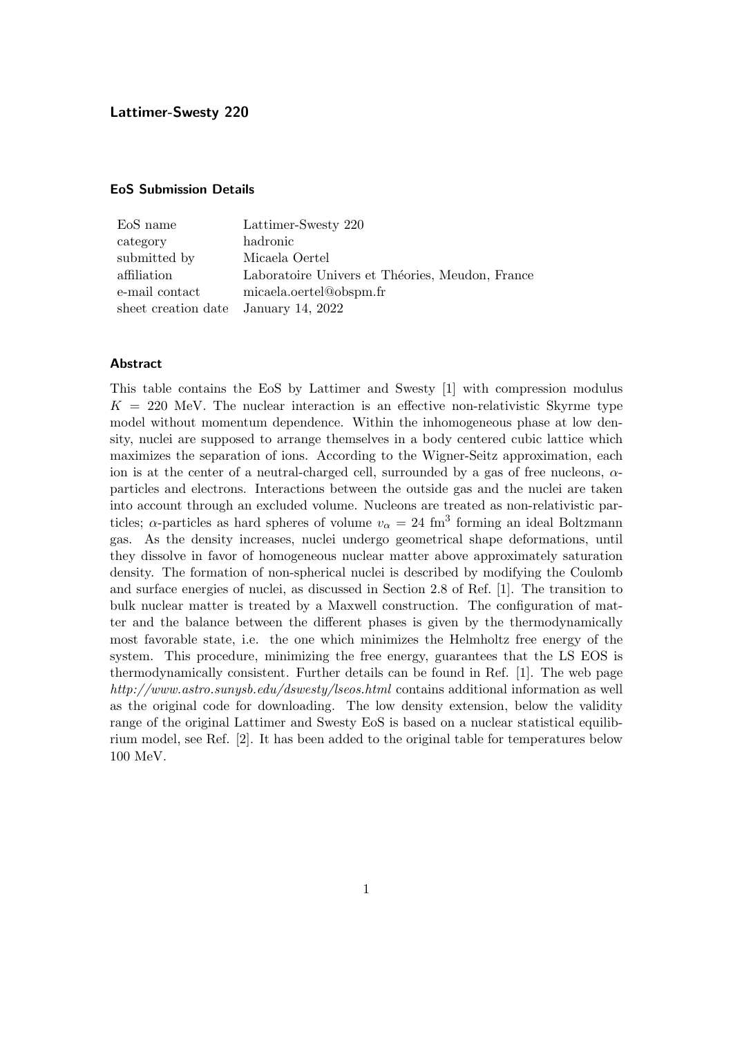#### EoS Submission Details

| EoS name                             | Lattimer-Swesty 220                             |
|--------------------------------------|-------------------------------------------------|
| category                             | hadronic                                        |
| submitted by                         | Micaela Oertel                                  |
| affiliation                          | Laboratoire Univers et Théories, Meudon, France |
| e-mail contact                       | micaela.oertel@obspm.fr                         |
| sheet creation date January 14, 2022 |                                                 |

#### **Abstract**

This table contains the EoS by Lattimer and Swesty [1] with compression modulus  $K = 220$  MeV. The nuclear interaction is an effective non-relativistic Skyrme type model without momentum dependence. Within the inhomogeneous phase at low density, nuclei are supposed to arrange themselves in a body centered cubic lattice which maximizes the separation of ions. According to the Wigner-Seitz approximation, each ion is at the center of a neutral-charged cell, surrounded by a gas of free nucleons,  $\alpha$ particles and electrons. Interactions between the outside gas and the nuclei are taken into account through an excluded volume. Nucleons are treated as non-relativistic particles;  $\alpha$ -particles as hard spheres of volume  $v_{\alpha} = 24$  fm<sup>3</sup> forming an ideal Boltzmann gas. As the density increases, nuclei undergo geometrical shape deformations, until they dissolve in favor of homogeneous nuclear matter above approximately saturation density. The formation of non-spherical nuclei is described by modifying the Coulomb and surface energies of nuclei, as discussed in Section 2.8 of Ref. [1]. The transition to bulk nuclear matter is treated by a Maxwell construction. The configuration of matter and the balance between the different phases is given by the thermodynamically most favorable state, i.e. the one which minimizes the Helmholtz free energy of the system. This procedure, minimizing the free energy, guarantees that the LS EOS is thermodynamically consistent. Further details can be found in Ref. [1]. The web page http://www.astro.sunysb.edu/dswesty/lseos.html contains additional information as well as the original code for downloading. The low density extension, below the validity range of the original Lattimer and Swesty EoS is based on a nuclear statistical equilibrium model, see Ref. [2]. It has been added to the original table for temperatures below 100 MeV.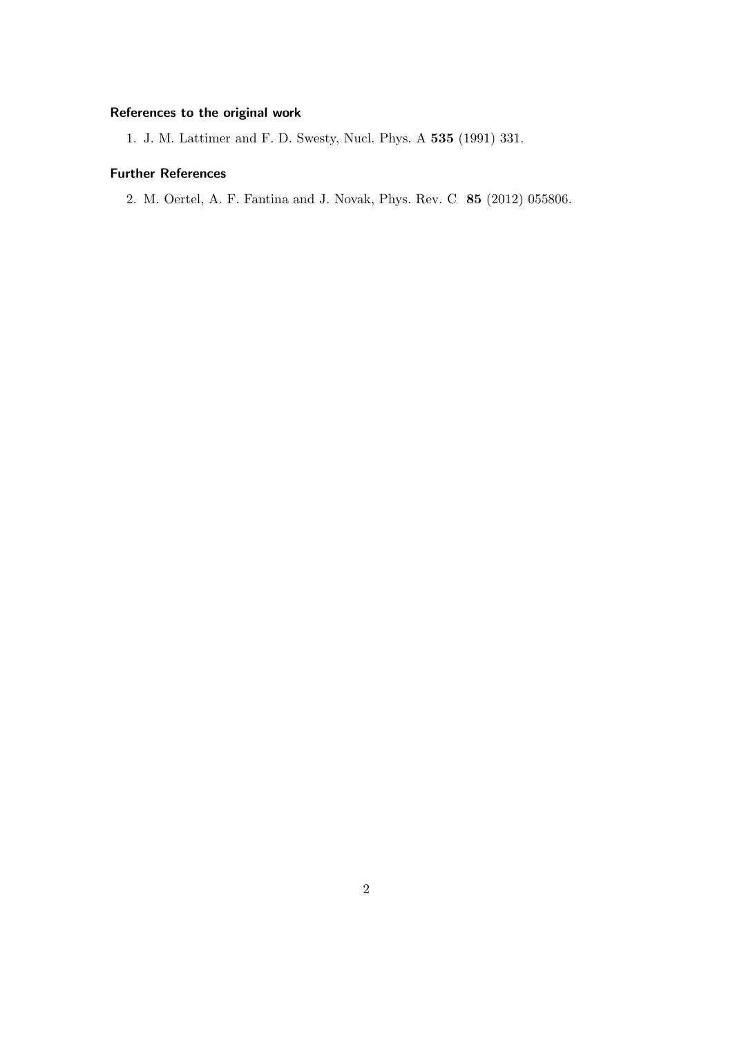## References to the original work

1. J. M. Lattimer and F. D. Swesty, Nucl. Phys. A 535 (1991) 331.

## Further References

2. M. Oertel, A. F. Fantina and J. Novak, Phys. Rev. C 85 (2012) 055806.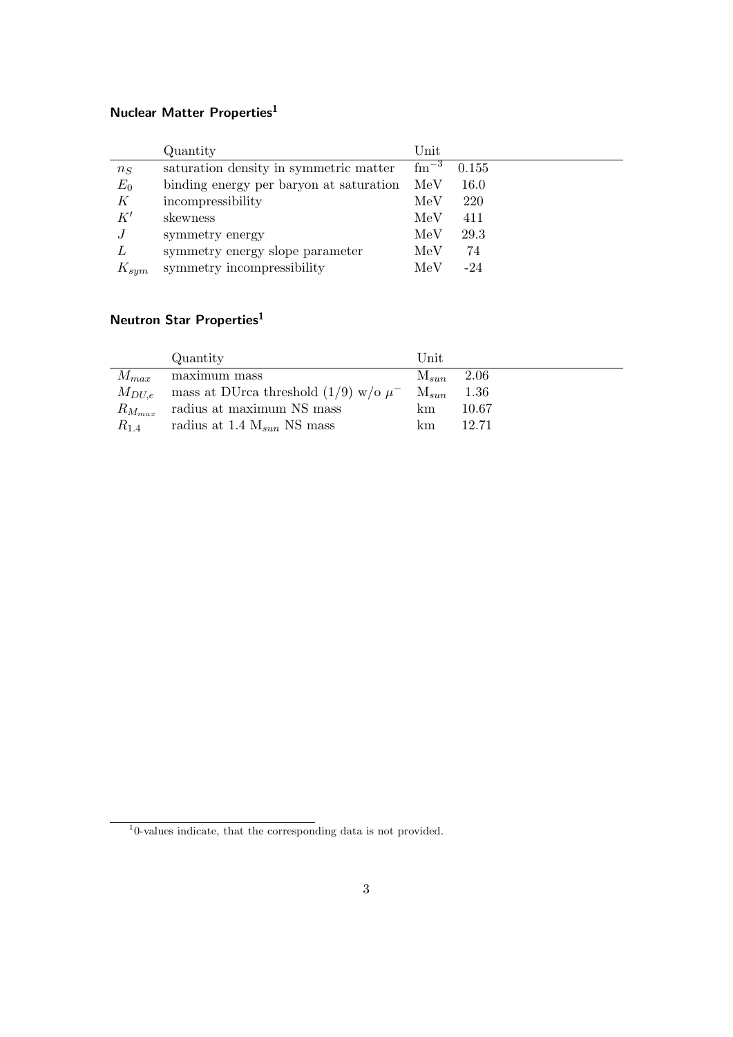## Nuclear Matter Properties $^1$

|           | Quantity                                | Unit           |       |
|-----------|-----------------------------------------|----------------|-------|
| $n_S$     | saturation density in symmetric matter  | $\rm{fm}^{-3}$ | 0.155 |
| $E_0$     | binding energy per baryon at saturation | MeV            | 16.0  |
| K         | incompressibility                       | MeV            | 220   |
| K'        | skewness                                | MeV            | 411   |
|           | symmetry energy                         | MeV            | 29.3  |
| L         | symmetry energy slope parameter         | MeV            | 74    |
| $K_{sym}$ | symmetry incompressibility              | MeV            | $-24$ |

# Neutron Star Properties<sup>1</sup>

|               | Quantity                                    | Unit           |       |
|---------------|---------------------------------------------|----------------|-------|
| $M_{max}$     | maximum mass                                | $M_{sun}$ 2.06 |       |
| $M_{DU,e}$    | mass at DUrca threshold $(1/9)$ w/o $\mu^-$ | $M_{sun}$      | 1.36  |
| $R_{M_{max}}$ | radius at maximum NS mass                   | km             | 10.67 |
| $R_{1.4}$     | radius at 1.4 $M_{sun}$ NS mass             | km             | 12.71 |

<sup>1</sup> 0-values indicate, that the corresponding data is not provided.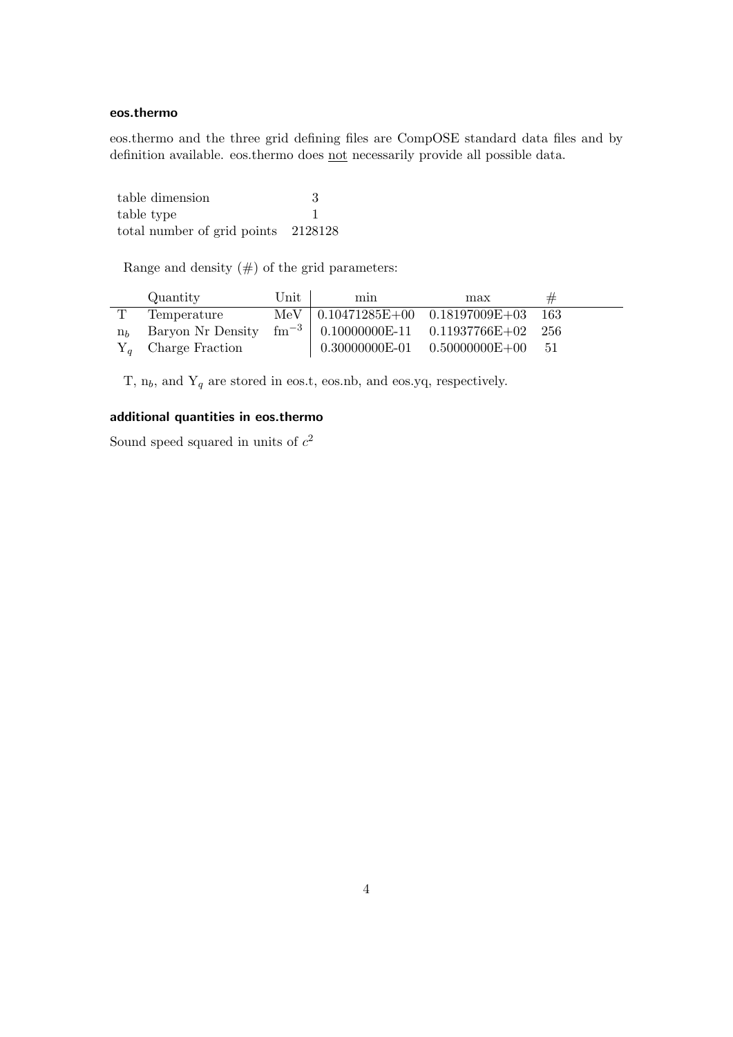### eos.thermo

eos.thermo and the three grid defining files are CompOSE standard data files and by definition available. eos.thermo does not necessarily provide all possible data.

table dimension 3 table type 1 total number of grid points 2128128

Range and density  $(\#)$  of the grid parameters:

|                | Quantity                                                               | $\operatorname{Unit}$ | min | max                                         | # |  |
|----------------|------------------------------------------------------------------------|-----------------------|-----|---------------------------------------------|---|--|
|                | Temperature                                                            |                       |     | MeV   $0.10471285E+00$ $0.18197009E+03$ 163 |   |  |
| n <sub>b</sub> | Baryon Nr Density $\text{fm}^{-3}$   0.10000000E-11 0.11937766E+02 256 |                       |     |                                             |   |  |
|                | $Y_q$ Charge Fraction                                                  |                       |     | $0.30000000E-01$ $0.50000000E+00$ 51        |   |  |

T,  $n_b$ , and  $Y_q$  are stored in eos.t, eos.nb, and eos.yq, respectively.

## additional quantities in eos.thermo

Sound speed squared in units of  $c^2$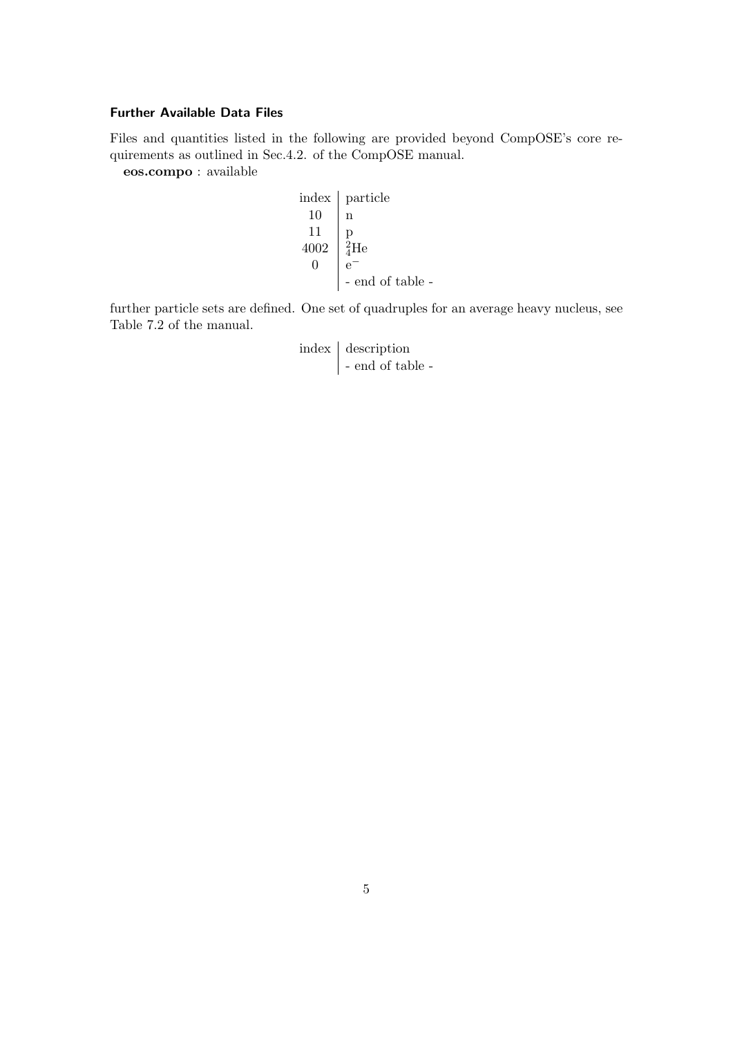### Further Available Data Files

Files and quantities listed in the following are provided beyond CompOSE's core requirements as outlined in Sec.4.2. of the CompOSE manual.

eos.compo : available

| index            | particle         |
|------------------|------------------|
| 10               | n                |
| 11               | p                |
| 4002             | $\frac{2}{4}$ He |
| 0                | e^-              |
| - end of table - |                  |

further particle sets are defined. One set of quadruples for an average heavy nucleus, see Table 7.2 of the manual.

| index description |  |  |
|-------------------|--|--|
| - end of table -  |  |  |